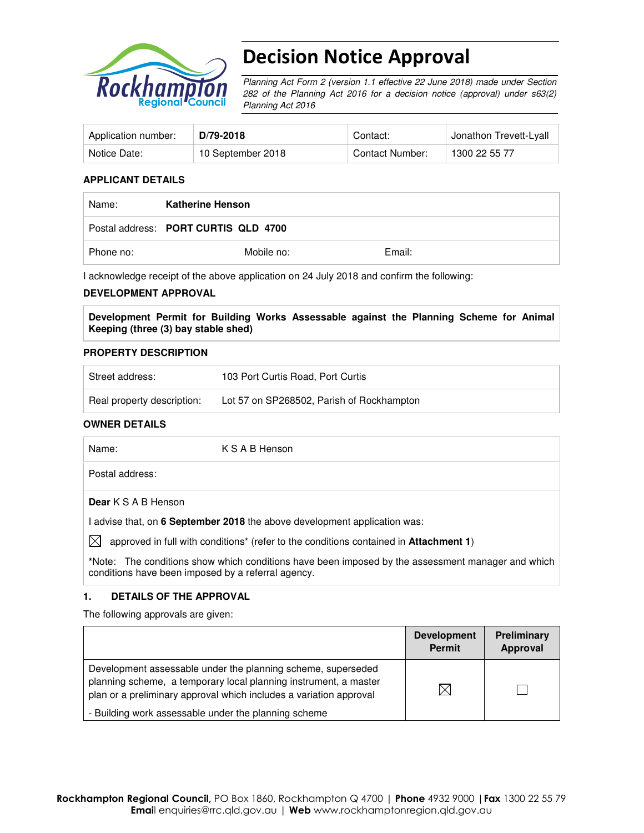

# Decision Notice Approval

Planning Act Form 2 (version 1.1 effective 22 June 2018) made under Section 282 of the Planning Act 2016 for a decision notice (approval) under s63(2) Planning Act 2016

| Application number: | D/79-2018         | Contact:        | <sup>⊥</sup> Jonathon Trevett-Lyall |
|---------------------|-------------------|-----------------|-------------------------------------|
| Notice Date:        | 10 September 2018 | Contact Number: | 1300 22 55 77                       |

#### **APPLICANT DETAILS**

| Name:     | <b>Katherine Henson</b>              |        |  |
|-----------|--------------------------------------|--------|--|
|           | Postal address: PORT CURTIS QLD 4700 |        |  |
| Phone no: | Mobile no:                           | Email: |  |

I acknowledge receipt of the above application on 24 July 2018 and confirm the following:

#### **DEVELOPMENT APPROVAL**

**Development Permit for Building Works Assessable against the Planning Scheme for Animal Keeping (three (3) bay stable shed)** 

#### **PROPERTY DESCRIPTION**

| Street address:            | 103 Port Curtis Road, Port Curtis         |
|----------------------------|-------------------------------------------|
| Real property description: | Lot 57 on SP268502, Parish of Rockhampton |

### **OWNER DETAILS**

| Name:                      | K S A B Henson |
|----------------------------|----------------|
| Postal address:            |                |
| <b>Dear</b> K S A B Henson |                |

I advise that, on **6 September 2018** the above development application was:

 $\boxtimes$  approved in full with conditions<sup>\*</sup> (refer to the conditions contained in **Attachment 1**)

**\***Note:The conditions show which conditions have been imposed by the assessment manager and which conditions have been imposed by a referral agency.

## **1. DETAILS OF THE APPROVAL**

The following approvals are given:

|                                                                                                                                                                                                        | <b>Development</b><br><b>Permit</b> | Preliminary<br>Approval |
|--------------------------------------------------------------------------------------------------------------------------------------------------------------------------------------------------------|-------------------------------------|-------------------------|
| Development assessable under the planning scheme, superseded<br>planning scheme, a temporary local planning instrument, a master<br>plan or a preliminary approval which includes a variation approval | ⋉                                   |                         |
| - Building work assessable under the planning scheme                                                                                                                                                   |                                     |                         |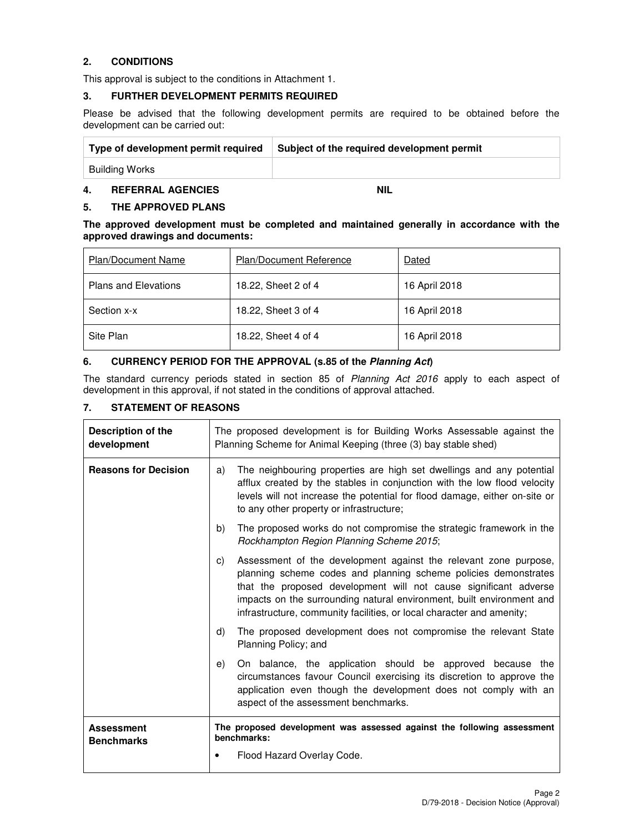# **2. CONDITIONS**

This approval is subject to the conditions in Attachment 1.

#### **3. FURTHER DEVELOPMENT PERMITS REQUIRED**

Please be advised that the following development permits are required to be obtained before the development can be carried out:

| Type of development permit required | Subject of the required development permit |
|-------------------------------------|--------------------------------------------|
| Building Works                      |                                            |

# **4. REFERRAL AGENCIES NIL**

### **5. THE APPROVED PLANS**

**The approved development must be completed and maintained generally in accordance with the approved drawings and documents:** 

| <b>Plan/Document Name</b>   | <b>Plan/Document Reference</b> | Dated         |
|-----------------------------|--------------------------------|---------------|
| <b>Plans and Elevations</b> | 18.22, Sheet 2 of 4            | 16 April 2018 |
| Section x-x                 | 18.22, Sheet 3 of 4            | 16 April 2018 |
| Site Plan                   | 18.22, Sheet 4 of 4            | 16 April 2018 |

### **6. CURRENCY PERIOD FOR THE APPROVAL (s.85 of the Planning Act)**

The standard currency periods stated in section 85 of Planning Act 2016 apply to each aspect of development in this approval, if not stated in the conditions of approval attached.

# **7. STATEMENT OF REASONS**

| Description of the<br>development      |                                                                                               | The proposed development is for Building Works Assessable against the<br>Planning Scheme for Animal Keeping (three (3) bay stable shed)                                                                                                                                                                                                                   |  |  |
|----------------------------------------|-----------------------------------------------------------------------------------------------|-----------------------------------------------------------------------------------------------------------------------------------------------------------------------------------------------------------------------------------------------------------------------------------------------------------------------------------------------------------|--|--|
| <b>Reasons for Decision</b>            | a)                                                                                            | The neighbouring properties are high set dwellings and any potential<br>afflux created by the stables in conjunction with the low flood velocity<br>levels will not increase the potential for flood damage, either on-site or<br>to any other property or infrastructure;                                                                                |  |  |
|                                        | b)                                                                                            | The proposed works do not compromise the strategic framework in the<br>Rockhampton Region Planning Scheme 2015;                                                                                                                                                                                                                                           |  |  |
|                                        | C)                                                                                            | Assessment of the development against the relevant zone purpose,<br>planning scheme codes and planning scheme policies demonstrates<br>that the proposed development will not cause significant adverse<br>impacts on the surrounding natural environment, built environment and<br>infrastructure, community facilities, or local character and amenity; |  |  |
|                                        | The proposed development does not compromise the relevant State<br>d)<br>Planning Policy; and |                                                                                                                                                                                                                                                                                                                                                           |  |  |
|                                        | e)                                                                                            | On balance, the application should be approved because the<br>circumstances favour Council exercising its discretion to approve the<br>application even though the development does not comply with an<br>aspect of the assessment benchmarks.                                                                                                            |  |  |
| <b>Assessment</b><br><b>Benchmarks</b> |                                                                                               | The proposed development was assessed against the following assessment<br>benchmarks:                                                                                                                                                                                                                                                                     |  |  |
|                                        |                                                                                               | Flood Hazard Overlay Code.                                                                                                                                                                                                                                                                                                                                |  |  |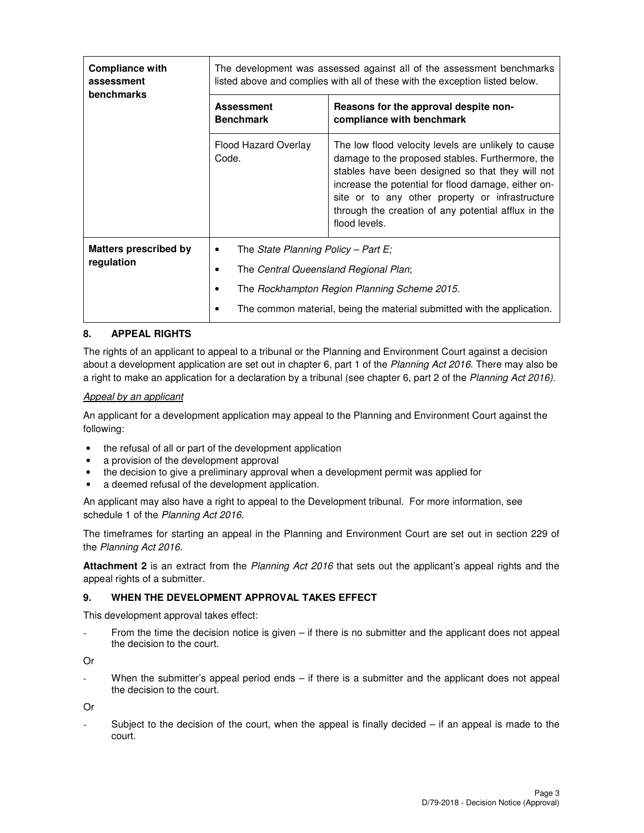| <b>Compliance with</b><br>assessment<br><b>benchmarks</b> | The development was assessed against all of the assessment benchmarks<br>listed above and complies with all of these with the exception listed below. |                                                                                                                                                                                                                                                                                                                                               |  |  |
|-----------------------------------------------------------|-------------------------------------------------------------------------------------------------------------------------------------------------------|-----------------------------------------------------------------------------------------------------------------------------------------------------------------------------------------------------------------------------------------------------------------------------------------------------------------------------------------------|--|--|
|                                                           | <b>Assessment</b><br><b>Benchmark</b>                                                                                                                 | Reasons for the approval despite non-<br>compliance with benchmark                                                                                                                                                                                                                                                                            |  |  |
|                                                           | Flood Hazard Overlay<br>Code.                                                                                                                         | The low flood velocity levels are unlikely to cause<br>damage to the proposed stables. Furthermore, the<br>stables have been designed so that they will not<br>increase the potential for flood damage, either on-<br>site or to any other property or infrastructure<br>through the creation of any potential afflux in the<br>flood levels. |  |  |
| Matters prescribed by<br>regulation                       | The State Planning Policy – Part E;<br>٠                                                                                                              |                                                                                                                                                                                                                                                                                                                                               |  |  |
|                                                           | The Central Queensland Regional Plan;                                                                                                                 |                                                                                                                                                                                                                                                                                                                                               |  |  |
|                                                           | The Rockhampton Region Planning Scheme 2015.                                                                                                          |                                                                                                                                                                                                                                                                                                                                               |  |  |
|                                                           | The common material, being the material submitted with the application.                                                                               |                                                                                                                                                                                                                                                                                                                                               |  |  |

## **8. APPEAL RIGHTS**

The rights of an applicant to appeal to a tribunal or the Planning and Environment Court against a decision about a development application are set out in chapter 6, part 1 of the Planning Act 2016. There may also be a right to make an application for a declaration by a tribunal (see chapter 6, part 2 of the Planning Act 2016).

#### Appeal by an applicant

An applicant for a development application may appeal to the Planning and Environment Court against the following:

- the refusal of all or part of the development application
- a provision of the development approval
- the decision to give a preliminary approval when a development permit was applied for
- a deemed refusal of the development application.

An applicant may also have a right to appeal to the Development tribunal. For more information, see schedule 1 of the Planning Act 2016.

The timeframes for starting an appeal in the Planning and Environment Court are set out in section 229 of the Planning Act 2016.

**Attachment 2** is an extract from the Planning Act 2016 that sets out the applicant's appeal rights and the appeal rights of a submitter.

#### **9. WHEN THE DEVELOPMENT APPROVAL TAKES EFFECT**

This development approval takes effect:

From the time the decision notice is given – if there is no submitter and the applicant does not appeal the decision to the court.

Or

When the submitter's appeal period ends  $-$  if there is a submitter and the applicant does not appeal the decision to the court.

Or

Subject to the decision of the court, when the appeal is finally decided  $-$  if an appeal is made to the court.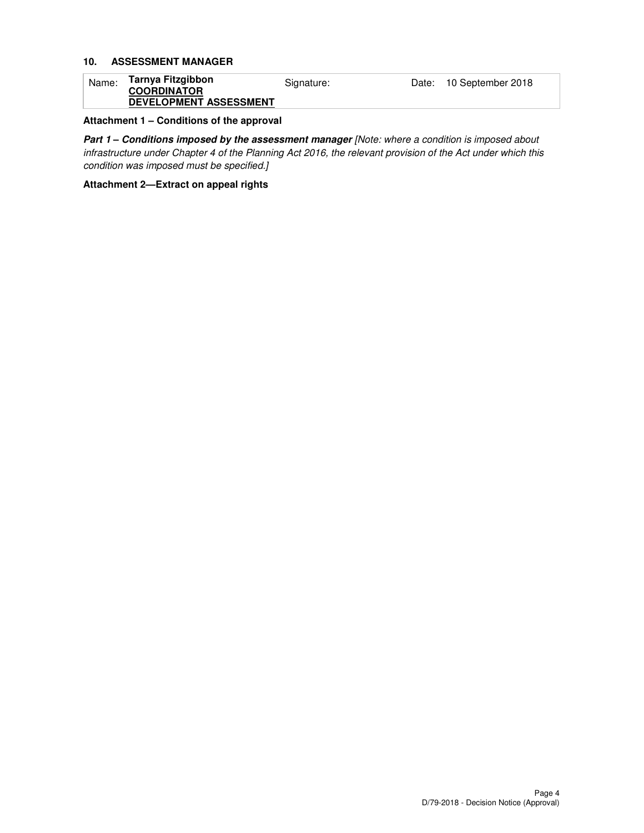# **10. ASSESSMENT MANAGER**

| Name: | Tarnya Fitzgibbon<br><b>COORDINATOR</b> | Signature: | Date: | 10 September 2018 |
|-------|-----------------------------------------|------------|-------|-------------------|
|       | <b>DEVELOPMENT ASSESSMENT</b>           |            |       |                   |

## **Attachment 1 – Conditions of the approval**

Part 1 - Conditions imposed by the assessment manager [Note: where a condition is imposed about infrastructure under Chapter 4 of the Planning Act 2016, the relevant provision of the Act under which this condition was imposed must be specified.]

#### **Attachment 2—Extract on appeal rights**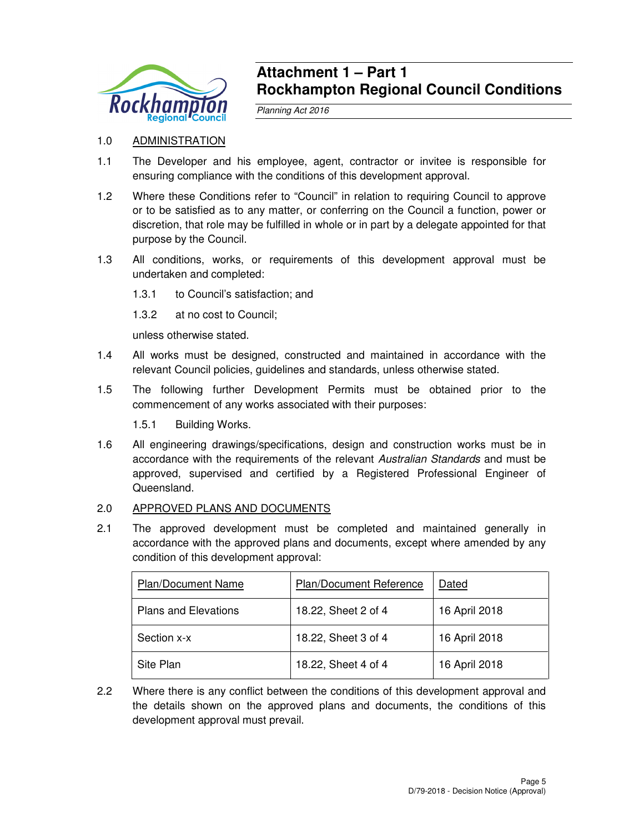

# **Attachment 1 – Part 1 Rockhampton Regional Council Conditions**

Planning Act 2016

# 1.0 ADMINISTRATION

- 1.1 The Developer and his employee, agent, contractor or invitee is responsible for ensuring compliance with the conditions of this development approval.
- 1.2 Where these Conditions refer to "Council" in relation to requiring Council to approve or to be satisfied as to any matter, or conferring on the Council a function, power or discretion, that role may be fulfilled in whole or in part by a delegate appointed for that purpose by the Council.
- 1.3 All conditions, works, or requirements of this development approval must be undertaken and completed:
	- 1.3.1 to Council's satisfaction; and
	- 1.3.2 at no cost to Council;

unless otherwise stated.

- 1.4 All works must be designed, constructed and maintained in accordance with the relevant Council policies, guidelines and standards, unless otherwise stated.
- 1.5 The following further Development Permits must be obtained prior to the commencement of any works associated with their purposes:

1.5.1 Building Works.

1.6 All engineering drawings/specifications, design and construction works must be in accordance with the requirements of the relevant Australian Standards and must be approved, supervised and certified by a Registered Professional Engineer of Queensland.

# 2.0 APPROVED PLANS AND DOCUMENTS

2.1 The approved development must be completed and maintained generally in accordance with the approved plans and documents, except where amended by any condition of this development approval:

| <b>Plan/Document Name</b>   | Plan/Document Reference | Dated         |
|-----------------------------|-------------------------|---------------|
| <b>Plans and Elevations</b> | 18.22, Sheet 2 of 4     | 16 April 2018 |
| Section x-x                 | 18.22, Sheet 3 of 4     | 16 April 2018 |
| Site Plan                   | 18.22, Sheet 4 of 4     | 16 April 2018 |

2.2 Where there is any conflict between the conditions of this development approval and the details shown on the approved plans and documents, the conditions of this development approval must prevail.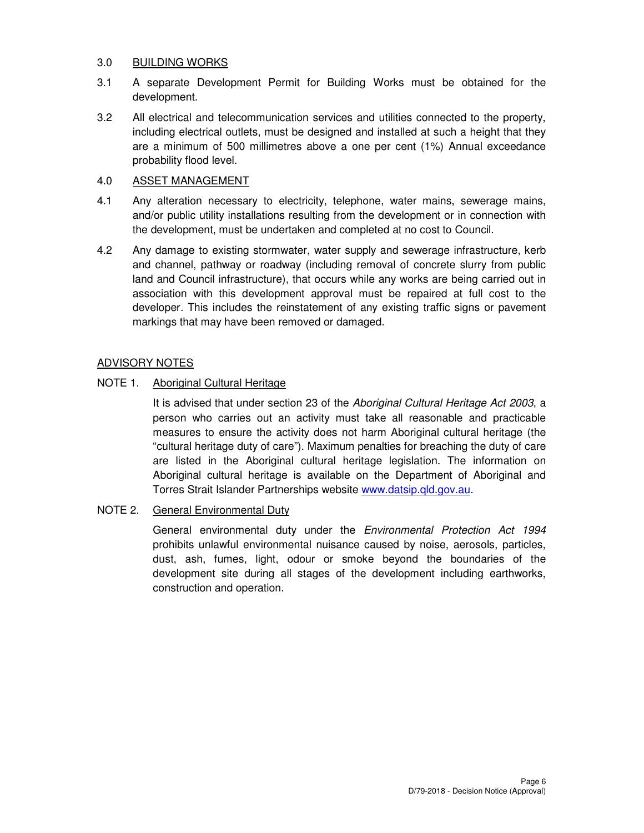# 3.0 BUILDING WORKS

- 3.1 A separate Development Permit for Building Works must be obtained for the development.
- 3.2 All electrical and telecommunication services and utilities connected to the property, including electrical outlets, must be designed and installed at such a height that they are a minimum of 500 millimetres above a one per cent (1%) Annual exceedance probability flood level.

# 4.0 ASSET MANAGEMENT

- 4.1 Any alteration necessary to electricity, telephone, water mains, sewerage mains, and/or public utility installations resulting from the development or in connection with the development, must be undertaken and completed at no cost to Council.
- 4.2 Any damage to existing stormwater, water supply and sewerage infrastructure, kerb and channel, pathway or roadway (including removal of concrete slurry from public land and Council infrastructure), that occurs while any works are being carried out in association with this development approval must be repaired at full cost to the developer. This includes the reinstatement of any existing traffic signs or pavement markings that may have been removed or damaged.

# ADVISORY NOTES

# NOTE 1. Aboriginal Cultural Heritage

It is advised that under section 23 of the Aboriginal Cultural Heritage Act 2003, a person who carries out an activity must take all reasonable and practicable measures to ensure the activity does not harm Aboriginal cultural heritage (the "cultural heritage duty of care"). Maximum penalties for breaching the duty of care are listed in the Aboriginal cultural heritage legislation. The information on Aboriginal cultural heritage is available on the Department of Aboriginal and Torres Strait Islander Partnerships website www.datsip.qld.gov.au.

# NOTE 2. General Environmental Duty

General environmental duty under the Environmental Protection Act 1994 prohibits unlawful environmental nuisance caused by noise, aerosols, particles, dust, ash, fumes, light, odour or smoke beyond the boundaries of the development site during all stages of the development including earthworks, construction and operation.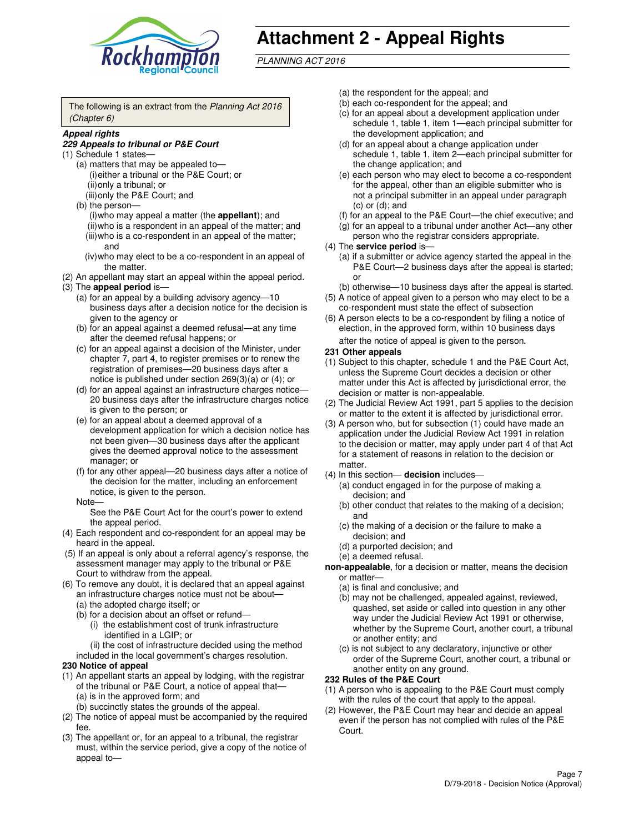

# **Attachment 2 - Appeal Rights**

PLANNING ACT 2016

The following is an extract from the Planning Act 2016 (Chapter 6)

#### **Appeal rights**

#### **229 Appeals to tribunal or P&E Court**

- (1) Schedule 1 states—
	- (a) matters that may be appealed to— (i) either a tribunal or the P&E Court; or (ii) only a tribunal; or (iii) only the P&E Court; and
	- (b) the person—
		- (i) who may appeal a matter (the **appellant**); and
		- (ii) who is a respondent in an appeal of the matter; and (iii) who is a co-respondent in an appeal of the matter;
		- and (iv) who may elect to be a co-respondent in an appeal of
- the matter. (2) An appellant may start an appeal within the appeal period.
- (3) The **appeal period** is—
	- (a) for an appeal by a building advisory agency—10 business days after a decision notice for the decision is given to the agency or
	- (b) for an appeal against a deemed refusal—at any time after the deemed refusal happens; or
	- (c) for an appeal against a decision of the Minister, under chapter 7, part 4, to register premises or to renew the registration of premises—20 business days after a notice is published under section 269(3)(a) or (4); or
	- (d) for an appeal against an infrastructure charges notice— 20 business days after the infrastructure charges notice is given to the person; or
	- (e) for an appeal about a deemed approval of a development application for which a decision notice has not been given—30 business days after the applicant gives the deemed approval notice to the assessment manager; or
	- (f) for any other appeal—20 business days after a notice of the decision for the matter, including an enforcement notice, is given to the person.
	- Note—

See the P&E Court Act for the court's power to extend the appeal period.

- (4) Each respondent and co-respondent for an appeal may be heard in the appeal.
- (5) If an appeal is only about a referral agency's response, the assessment manager may apply to the tribunal or P&E Court to withdraw from the appeal.
- (6) To remove any doubt, it is declared that an appeal against an infrastructure charges notice must not be about—
	- (a) the adopted charge itself; or
	- (b) for a decision about an offset or refund—
		- (i) the establishment cost of trunk infrastructure identified in a LGIP; or

(ii) the cost of infrastructure decided using the method

- included in the local government's charges resolution. **230 Notice of appeal**
- (1) An appellant starts an appeal by lodging, with the registrar of the tribunal or P&E Court, a notice of appeal that—
	- (a) is in the approved form; and
	- (b) succinctly states the grounds of the appeal.
- (2) The notice of appeal must be accompanied by the required fee.
- (3) The appellant or, for an appeal to a tribunal, the registrar must, within the service period, give a copy of the notice of appeal to—
- (a) the respondent for the appeal; and
- (b) each co-respondent for the appeal; and
- (c) for an appeal about a development application under schedule 1, table 1, item 1—each principal submitter for the development application; and
- (d) for an appeal about a change application under schedule 1, table 1, item 2—each principal submitter for the change application; and
- (e) each person who may elect to become a co-respondent for the appeal, other than an eligible submitter who is not a principal submitter in an appeal under paragraph  $(c)$  or  $(d)$ ; and
- (f) for an appeal to the P&E Court—the chief executive; and
- (g) for an appeal to a tribunal under another Act—any other person who the registrar considers appropriate.
- (4) The **service period** is—
	- (a) if a submitter or advice agency started the appeal in the P&E Court—2 business days after the appeal is started; or
	- (b) otherwise—10 business days after the appeal is started.
- (5) A notice of appeal given to a person who may elect to be a co-respondent must state the effect of subsection
- (6) A person elects to be a co-respondent by filing a notice of election, in the approved form, within 10 business days after the notice of appeal is given to the person*.*
- **231 Other appeals**
- (1) Subject to this chapter, schedule 1 and the P&E Court Act, unless the Supreme Court decides a decision or other matter under this Act is affected by jurisdictional error, the decision or matter is non-appealable.
- (2) The Judicial Review Act 1991, part 5 applies to the decision or matter to the extent it is affected by jurisdictional error.
- (3) A person who, but for subsection (1) could have made an application under the Judicial Review Act 1991 in relation to the decision or matter, may apply under part 4 of that Act for a statement of reasons in relation to the decision or matter.
- (4) In this section— **decision** includes—
	- (a) conduct engaged in for the purpose of making a decision; and
	- (b) other conduct that relates to the making of a decision; and
	- (c) the making of a decision or the failure to make a decision; and
	- (d) a purported decision; and
	- (e) a deemed refusal.

**non-appealable**, for a decision or matter, means the decision or matter—

- (a) is final and conclusive; and
- (b) may not be challenged, appealed against, reviewed, quashed, set aside or called into question in any other way under the Judicial Review Act 1991 or otherwise, whether by the Supreme Court, another court, a tribunal or another entity; and
- (c) is not subject to any declaratory, injunctive or other order of the Supreme Court, another court, a tribunal or another entity on any ground.

#### **232 Rules of the P&E Court**

- (1) A person who is appealing to the P&E Court must comply with the rules of the court that apply to the appeal.
- (2) However, the P&E Court may hear and decide an appeal even if the person has not complied with rules of the P&E Court.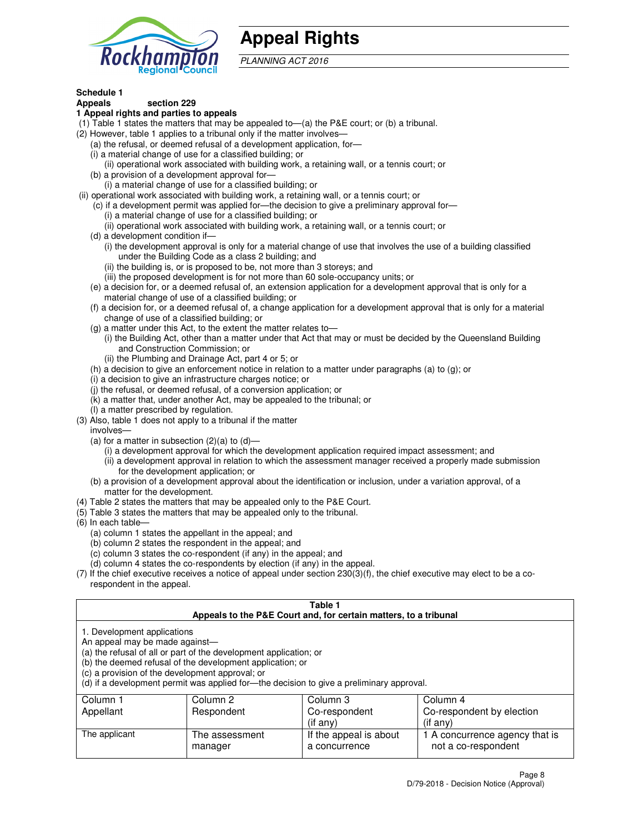

# **Appeal Rights**

PLANNING ACT 2016

# **Schedule 1**

# **Appeals section 229**

- **1 Appeal rights and parties to appeals**
- (1) Table 1 states the matters that may be appealed to—(a) the P&E court; or (b) a tribunal.
- (2) However, table 1 applies to a tribunal only if the matter involves—
	- (a) the refusal, or deemed refusal of a development application, for—
	- (i) a material change of use for a classified building; or
	- (ii) operational work associated with building work, a retaining wall, or a tennis court; or
	- (b) a provision of a development approval for—
	- (i) a material change of use for a classified building; or
- (ii) operational work associated with building work, a retaining wall, or a tennis court; or
	- (c) if a development permit was applied for—the decision to give a preliminary approval for—
		- (i) a material change of use for a classified building; or
		- (ii) operational work associated with building work, a retaining wall, or a tennis court; or
	- (d) a development condition if—
		- (i) the development approval is only for a material change of use that involves the use of a building classified under the Building Code as a class 2 building; and
		- (ii) the building is, or is proposed to be, not more than 3 storeys; and
		- (iii) the proposed development is for not more than 60 sole-occupancy units; or
	- (e) a decision for, or a deemed refusal of, an extension application for a development approval that is only for a material change of use of a classified building; or
	- (f) a decision for, or a deemed refusal of, a change application for a development approval that is only for a material change of use of a classified building; or
	- (g) a matter under this Act, to the extent the matter relates to—
		- (i) the Building Act, other than a matter under that Act that may or must be decided by the Queensland Building and Construction Commission; or
		- (ii) the Plumbing and Drainage Act, part 4 or 5; or
	- (h) a decision to give an enforcement notice in relation to a matter under paragraphs (a) to (g); or
	- (i) a decision to give an infrastructure charges notice; or
	- (j) the refusal, or deemed refusal, of a conversion application; or
	- (k) a matter that, under another Act, may be appealed to the tribunal; or
	- (l) a matter prescribed by regulation.
- (3) Also, table 1 does not apply to a tribunal if the matter
	- involves—
	- (a) for a matter in subsection  $(2)(a)$  to  $(d)$ 
		- (i) a development approval for which the development application required impact assessment; and
		- (ii) a development approval in relation to which the assessment manager received a properly made submission for the development application; or
	- (b) a provision of a development approval about the identification or inclusion, under a variation approval, of a matter for the development.
- (4) Table 2 states the matters that may be appealed only to the P&E Court.
- (5) Table 3 states the matters that may be appealed only to the tribunal.
- (6) In each table—
	- (a) column 1 states the appellant in the appeal; and
	- (b) column 2 states the respondent in the appeal; and
	- (c) column 3 states the co-respondent (if any) in the appeal; and
	- (d) column 4 states the co-respondents by election (if any) in the appeal.
- (7) If the chief executive receives a notice of appeal under section 230(3)(f), the chief executive may elect to be a corespondent in the appeal.

| Table 1<br>Appeals to the P&E Court and, for certain matters, to a tribunal                                      |                                                                                                                                |                                                                                          |                                                       |  |
|------------------------------------------------------------------------------------------------------------------|--------------------------------------------------------------------------------------------------------------------------------|------------------------------------------------------------------------------------------|-------------------------------------------------------|--|
| 1. Development applications<br>An appeal may be made against-<br>(c) a provision of the development approval; or | (a) the refusal of all or part of the development application; or<br>(b) the deemed refusal of the development application; or | (d) if a development permit was applied for-the decision to give a preliminary approval. |                                                       |  |
| Column 1                                                                                                         | Column 2                                                                                                                       | Column 3                                                                                 | Column 4                                              |  |
| Appellant                                                                                                        | Respondent                                                                                                                     | Co-respondent                                                                            | Co-respondent by election                             |  |
| $(i$ f any $)$<br>$(i$ f any)                                                                                    |                                                                                                                                |                                                                                          |                                                       |  |
| The applicant                                                                                                    | The assessment<br>manager                                                                                                      | If the appeal is about<br>a concurrence                                                  | 1 A concurrence agency that is<br>not a co-respondent |  |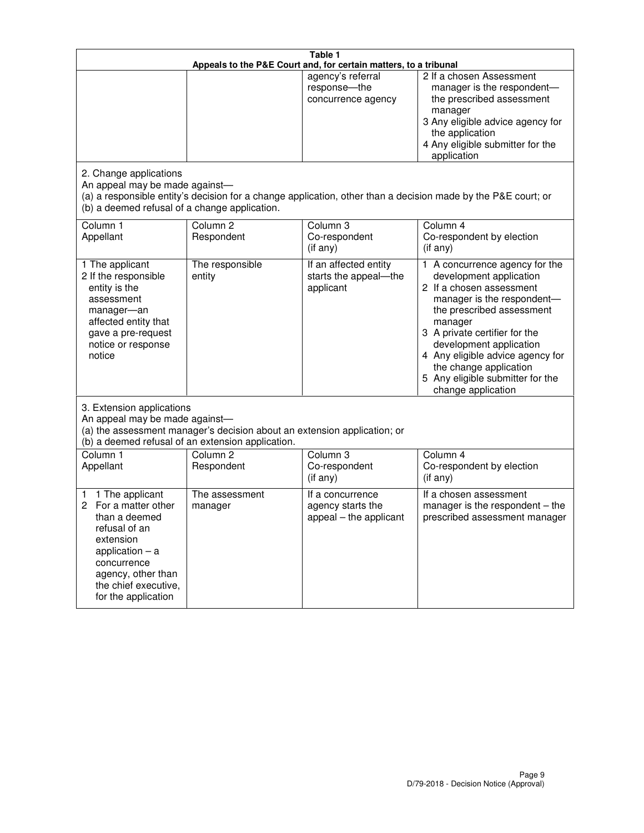| Table 1<br>Appeals to the P&E Court and, for certain matters, to a tribunal                                                                                                                             |                                   |                                                                 |                                                                                                                                                                                                                                                                                                                                                 |  |
|---------------------------------------------------------------------------------------------------------------------------------------------------------------------------------------------------------|-----------------------------------|-----------------------------------------------------------------|-------------------------------------------------------------------------------------------------------------------------------------------------------------------------------------------------------------------------------------------------------------------------------------------------------------------------------------------------|--|
|                                                                                                                                                                                                         |                                   | agency's referral<br>response-the<br>concurrence agency         | 2 If a chosen Assessment<br>manager is the respondent-<br>the prescribed assessment<br>manager<br>3 Any eligible advice agency for<br>the application<br>4 Any eligible submitter for the<br>application                                                                                                                                        |  |
| 2. Change applications<br>An appeal may be made against-<br>(b) a deemed refusal of a change application.                                                                                               |                                   |                                                                 | (a) a responsible entity's decision for a change application, other than a decision made by the P&E court; or                                                                                                                                                                                                                                   |  |
| Column 1<br>Appellant                                                                                                                                                                                   | Column <sub>2</sub><br>Respondent | Column <sub>3</sub><br>Co-respondent<br>(if any)                | Column 4<br>Co-respondent by election<br>(if any)                                                                                                                                                                                                                                                                                               |  |
| 1 The applicant<br>2 If the responsible<br>entity is the<br>assessment<br>manager-an<br>affected entity that<br>gave a pre-request<br>notice or response<br>notice                                      | The responsible<br>entity         | If an affected entity<br>starts the appeal-the<br>applicant     | 1 A concurrence agency for the<br>development application<br>2 If a chosen assessment<br>manager is the respondent-<br>the prescribed assessment<br>manager<br>3 A private certifier for the<br>development application<br>4 Any eligible advice agency for<br>the change application<br>5 Any eligible submitter for the<br>change application |  |
| 3. Extension applications<br>An appeal may be made against-<br>(a) the assessment manager's decision about an extension application; or<br>(b) a deemed refusal of an extension application.            |                                   |                                                                 |                                                                                                                                                                                                                                                                                                                                                 |  |
| Column 1<br>Appellant                                                                                                                                                                                   | Column <sub>2</sub><br>Respondent | Column 3<br>Co-respondent<br>(if any)                           | Column 4<br>Co-respondent by election<br>(if any)                                                                                                                                                                                                                                                                                               |  |
| 1 The applicant<br>1<br>For a matter other<br>2<br>than a deemed<br>refusal of an<br>extension<br>application $-$ a<br>concurrence<br>agency, other than<br>the chief executive,<br>for the application | The assessment<br>manager         | If a concurrence<br>agency starts the<br>appeal - the applicant | If a chosen assessment<br>manager is the respondent – the<br>prescribed assessment manager                                                                                                                                                                                                                                                      |  |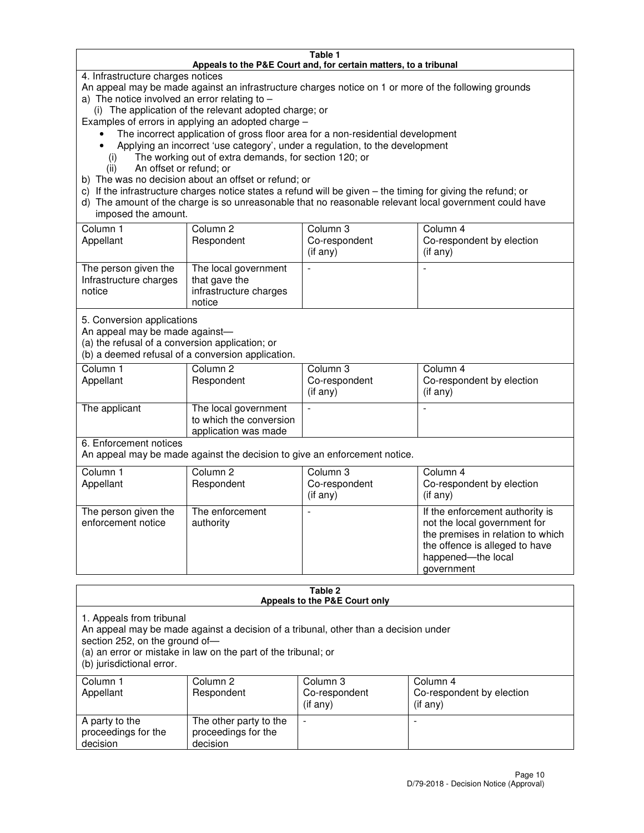#### **Table 1 Appeals to the P&E Court and, for certain matters, to a tribunal**

4. Infrastructure charges notices

An appeal may be made against an infrastructure charges notice on 1 or more of the following grounds

- a) The notice involved an error relating to
	- (i) The application of the relevant adopted charge; or
- Examples of errors in applying an adopted charge
	- The incorrect application of gross floor area for a non-residential development
	- Applying an incorrect 'use category', under a regulation, to the development
		- (i) The working out of extra demands, for section 120; or
		- (ii) An offset or refund; or
- b) The was no decision about an offset or refund; or
- c) If the infrastructure charges notice states a refund will be given the timing for giving the refund; or
- d) The amount of the charge is so unreasonable that no reasonable relevant local government could have imposed the amount.

| Column 1<br>Appellant                                    | Column 2<br>Respondent                                                    | Column 3<br>Co-respondent<br>$($ if any $)$ | Column 4<br>Co-respondent by election<br>$($ if any $)$ |
|----------------------------------------------------------|---------------------------------------------------------------------------|---------------------------------------------|---------------------------------------------------------|
| The person given the<br>Infrastructure charges<br>notice | The local government<br>that gave the<br>infrastructure charges<br>notice |                                             |                                                         |

5. Conversion applications

An appeal may be made against—

(a) the refusal of a conversion application; or

(b) a deemed refusal of a conversion application.

| Column 1<br>Appellant | Column 2<br>Respondent                                                  | Column 3<br>Co-respondent<br>$($ if any $)$ | Column 4<br>Co-respondent by election<br>$($ if any $)$ |
|-----------------------|-------------------------------------------------------------------------|---------------------------------------------|---------------------------------------------------------|
| The applicant         | The local government<br>to which the conversion<br>application was made |                                             |                                                         |

6. Enforcement notices

An appeal may be made against the decision to give an enforcement notice.

| Column 1<br>Appellant                      | Column 2<br>Respondent       | Column 3<br>Co-respondent<br>$($ if any $)$ | Column 4<br>Co-respondent by election<br>(if any)                                                                                                                          |
|--------------------------------------------|------------------------------|---------------------------------------------|----------------------------------------------------------------------------------------------------------------------------------------------------------------------------|
| The person given the<br>enforcement notice | The enforcement<br>authority |                                             | If the enforcement authority is<br>not the local government for<br>the premises in relation to which<br>the offence is alleged to have<br>happened-the local<br>government |

#### **Table 2 Appeals to the P&E Court only**

1. Appeals from tribunal

An appeal may be made against a decision of a tribunal, other than a decision under

section 252, on the ground of—

(a) an error or mistake in law on the part of the tribunal; or

(b) jurisdictional error.

| Column 1<br>Appellant                             | Column 2<br>Respondent                                    | Column 3<br>Co-respondent<br>(if any) | Column 4<br>Co-respondent by election<br>(if any) |
|---------------------------------------------------|-----------------------------------------------------------|---------------------------------------|---------------------------------------------------|
| A party to the<br>proceedings for the<br>decision | The other party to the<br>proceedings for the<br>decision | $\overline{\phantom{a}}$              |                                                   |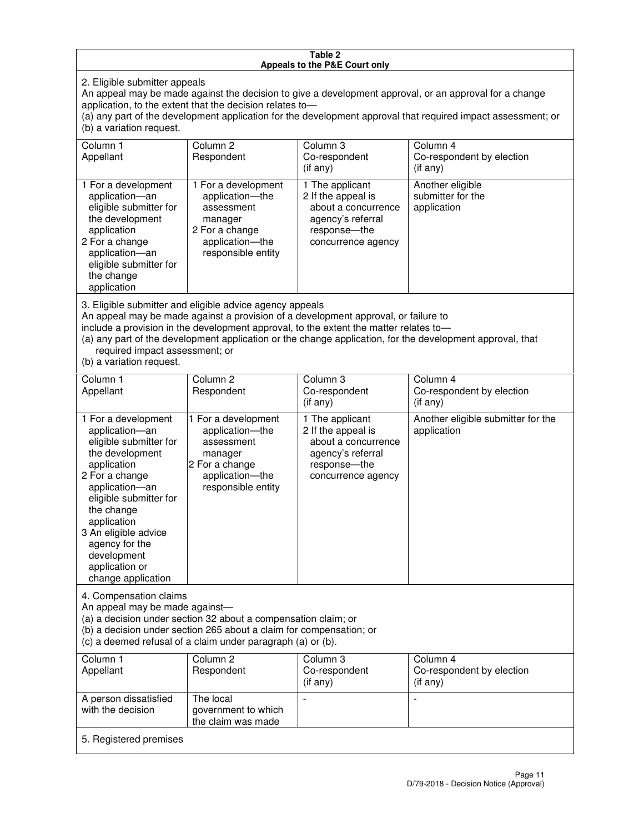#### **Table 2 Appeals to the P&E Court only**

2. Eligible submitter appeals

An appeal may be made against the decision to give a development approval, or an approval for a change application, to the extent that the decision relates to—

(a) any part of the development application for the development approval that required impact assessment; or (b) a variation request.

| Column 1<br>Appellant                                                                                                                                                                                                                                                                                                                                                                                              | Column 2<br>Respondent                                                                                                     | Column 3<br>Co-respondent<br>$($ if any $)$                                                                               | Column 4<br>Co-respondent by election<br>(i f any)   |
|--------------------------------------------------------------------------------------------------------------------------------------------------------------------------------------------------------------------------------------------------------------------------------------------------------------------------------------------------------------------------------------------------------------------|----------------------------------------------------------------------------------------------------------------------------|---------------------------------------------------------------------------------------------------------------------------|------------------------------------------------------|
| 1 For a development<br>application-an<br>eligible submitter for<br>the development<br>application<br>2 For a change<br>application-an<br>eligible submitter for<br>the change<br>application                                                                                                                                                                                                                       | 1 For a development<br>application-the<br>assessment<br>manager<br>2 For a change<br>application-the<br>responsible entity | 1 The applicant<br>2 If the appeal is<br>about a concurrence<br>agency's referral<br>response---the<br>concurrence agency | Another eligible<br>submitter for the<br>application |
| 3. Eligible submitter and eligible advice agency appeals<br>An appeal may be made against a provision of a development approval, or failure to<br>include a provision in the development approval, to the extent the matter relates to-<br>(a) any part of the development application or the change application, for the development approval, that<br>required impact assessment; or<br>(b) a variation request. |                                                                                                                            |                                                                                                                           |                                                      |
| Column <sub>1</sub>                                                                                                                                                                                                                                                                                                                                                                                                | Column <sub>2</sub>                                                                                                        | Column 3                                                                                                                  | Column 4                                             |
| Appellant                                                                                                                                                                                                                                                                                                                                                                                                          | Respondent                                                                                                                 | Co-respondent<br>(if any)                                                                                                 | Co-respondent by election<br>(i f any)               |
| 1 For a development<br>application-an<br>eligible submitter for<br>the development<br>application                                                                                                                                                                                                                                                                                                                  | 1 For a development<br>application-the<br>assessment<br>manager<br>2 For a change                                          | 1 The applicant<br>2 If the appeal is<br>about a concurrence<br>agency's referral<br>response---the                       | Another eligible submitter for the<br>application    |

concurrence agency

4. Compensation claims

2 For a change application—an eligible submitter for

the change application 3 An eligible advice agency for the development application or change application

An appeal may be made against—

(a) a decision under section 32 about a compensation claim; or

(b) a decision under section 265 about a claim for compensation; or

application—the responsible entity

(c) a deemed refusal of a claim under paragraph (a) or (b).

| Column 1<br>Appellant                      | Column 2<br>Respondent                                 | Column 3<br>Co-respondent<br>$(if$ any) | Column 4<br>Co-respondent by election<br>(if any) |
|--------------------------------------------|--------------------------------------------------------|-----------------------------------------|---------------------------------------------------|
| A person dissatisfied<br>with the decision | The local<br>government to which<br>the claim was made | $\overline{\phantom{a}}$                |                                                   |
| 5. Registered premises                     |                                                        |                                         |                                                   |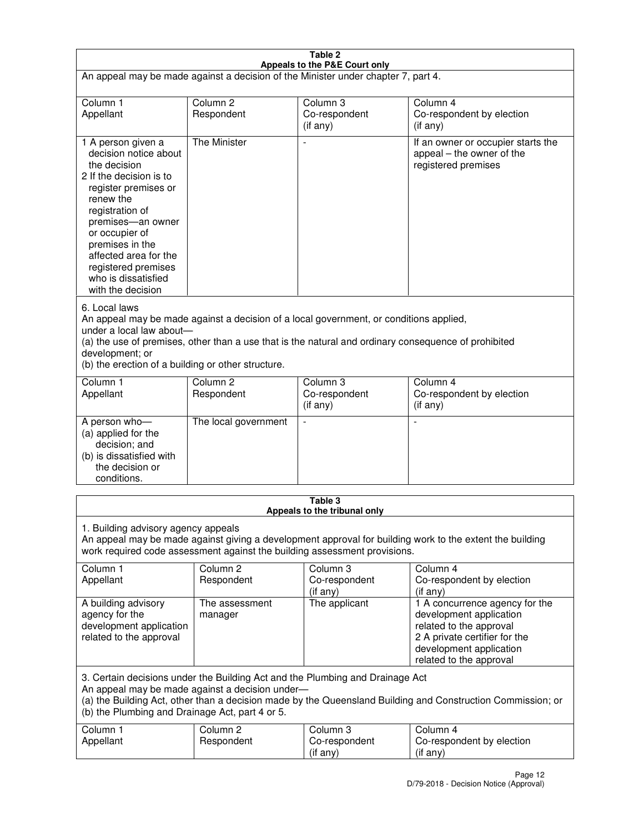| Table 2<br>Appeals to the P&E Court only                                                                                                                                                                                                                                                                             |                                   |                                       |                                                                                                                                                                             |  |
|----------------------------------------------------------------------------------------------------------------------------------------------------------------------------------------------------------------------------------------------------------------------------------------------------------------------|-----------------------------------|---------------------------------------|-----------------------------------------------------------------------------------------------------------------------------------------------------------------------------|--|
| An appeal may be made against a decision of the Minister under chapter 7, part 4.                                                                                                                                                                                                                                    |                                   |                                       |                                                                                                                                                                             |  |
|                                                                                                                                                                                                                                                                                                                      |                                   |                                       |                                                                                                                                                                             |  |
| Column 1<br>Appellant                                                                                                                                                                                                                                                                                                | Column <sub>2</sub><br>Respondent | Column <sub>3</sub><br>Co-respondent  | Column <sub>4</sub><br>Co-respondent by election                                                                                                                            |  |
|                                                                                                                                                                                                                                                                                                                      |                                   | (if any)                              | (if any)                                                                                                                                                                    |  |
| 1 A person given a<br>decision notice about<br>the decision<br>2 If the decision is to<br>register premises or<br>renew the<br>registration of<br>premises-an owner<br>or occupier of<br>premises in the<br>affected area for the<br>registered premises<br>who is dissatisfied<br>with the decision                 | <b>The Minister</b>               |                                       | If an owner or occupier starts the<br>appeal – the owner of the<br>registered premises                                                                                      |  |
| 6. Local laws<br>An appeal may be made against a decision of a local government, or conditions applied,<br>under a local law about-<br>(a) the use of premises, other than a use that is the natural and ordinary consequence of prohibited<br>development; or<br>(b) the erection of a building or other structure. |                                   |                                       |                                                                                                                                                                             |  |
| Column 1                                                                                                                                                                                                                                                                                                             | Column <sub>2</sub>               | Column 3                              | Column $\overline{4}$                                                                                                                                                       |  |
| Appellant                                                                                                                                                                                                                                                                                                            | Respondent                        | Co-respondent<br>(if any)             | Co-respondent by election<br>(if any)                                                                                                                                       |  |
| A person who-<br>(a) applied for the<br>decision; and<br>(b) is dissatisfied with<br>the decision or<br>conditions.                                                                                                                                                                                                  | The local government              |                                       |                                                                                                                                                                             |  |
| Table 3<br>Appeals to the tribunal only                                                                                                                                                                                                                                                                              |                                   |                                       |                                                                                                                                                                             |  |
| 1. Building advisory agency appeals<br>An appeal may be made against giving a development approval for building work to the extent the building<br>work required code assessment against the building assessment provisions.<br>Column <sub>2</sub><br>Column 4                                                      |                                   |                                       |                                                                                                                                                                             |  |
| Column 1<br>Appellant                                                                                                                                                                                                                                                                                                | Respondent                        | Column 3<br>Co-respondent<br>(if any) | Co-respondent by election<br>(if any)                                                                                                                                       |  |
| A building advisory<br>agency for the<br>development application<br>related to the approval                                                                                                                                                                                                                          | The assessment<br>manager         | The applicant                         | 1 A concurrence agency for the<br>development application<br>related to the approval<br>2 A private certifier for the<br>development application<br>related to the approval |  |
| 3. Certain decisions under the Building Act and the Plumbing and Drainage Act<br>An appeal may be made against a decision under-<br>(a) the Building Act, other than a decision made by the Queensland Building and Construction Commission; or<br>(b) the Plumbing and Drainage Act, part 4 or 5.                   |                                   |                                       |                                                                                                                                                                             |  |
| Column 1<br>Appellant                                                                                                                                                                                                                                                                                                | Column <sub>2</sub><br>Respondent | Column 3<br>Co-respondent<br>(if any) | Column 4<br>Co-respondent by election<br>(if any)                                                                                                                           |  |